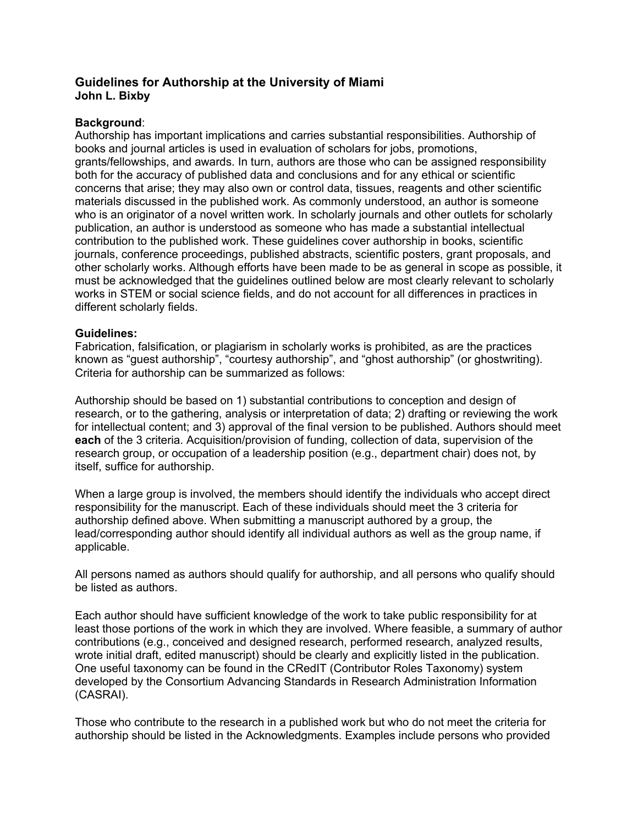# **Guidelines for Authorship at the University of Miami John L. Bixby**

# **Background**:

Authorship has important implications and carries substantial responsibilities. Authorship of books and journal articles is used in evaluation of scholars for jobs, promotions, grants/fellowships, and awards. In turn, authors are those who can be assigned responsibility both for the accuracy of published data and conclusions and for any ethical or scientific concerns that arise; they may also own or control data, tissues, reagents and other scientific materials discussed in the published work. As commonly understood, an author is someone who is an originator of a novel written work. In scholarly journals and other outlets for scholarly publication, an author is understood as someone who has made a substantial intellectual contribution to the published work. These guidelines cover authorship in books, scientific journals, conference proceedings, published abstracts, scientific posters, grant proposals, and other scholarly works. Although efforts have been made to be as general in scope as possible, it must be acknowledged that the guidelines outlined below are most clearly relevant to scholarly works in STEM or social science fields, and do not account for all differences in practices in different scholarly fields.

## **Guidelines:**

Fabrication, falsification, or plagiarism in scholarly works is prohibited, as are the practices known as "guest authorship", "courtesy authorship", and "ghost authorship" (or ghostwriting). Criteria for authorship can be summarized as follows:

Authorship should be based on 1) substantial contributions to conception and design of research, or to the gathering, analysis or interpretation of data; 2) drafting or reviewing the work for intellectual content; and 3) approval of the final version to be published. Authors should meet **each** of the 3 criteria. Acquisition/provision of funding, collection of data, supervision of the research group, or occupation of a leadership position (e.g., department chair) does not, by itself, suffice for authorship.

When a large group is involved, the members should identify the individuals who accept direct responsibility for the manuscript. Each of these individuals should meet the 3 criteria for authorship defined above. When submitting a manuscript authored by a group, the lead/corresponding author should identify all individual authors as well as the group name, if applicable.

All persons named as authors should qualify for authorship, and all persons who qualify should be listed as authors.

Each author should have sufficient knowledge of the work to take public responsibility for at least those portions of the work in which they are involved. Where feasible, a summary of author contributions (e.g., conceived and designed research, performed research, analyzed results, wrote initial draft, edited manuscript) should be clearly and explicitly listed in the publication. One useful taxonomy can be found in the CRedIT (Contributor Roles Taxonomy) system developed by the Consortium Advancing Standards in Research Administration Information (CASRAI).

Those who contribute to the research in a published work but who do not meet the criteria for authorship should be listed in the Acknowledgments. Examples include persons who provided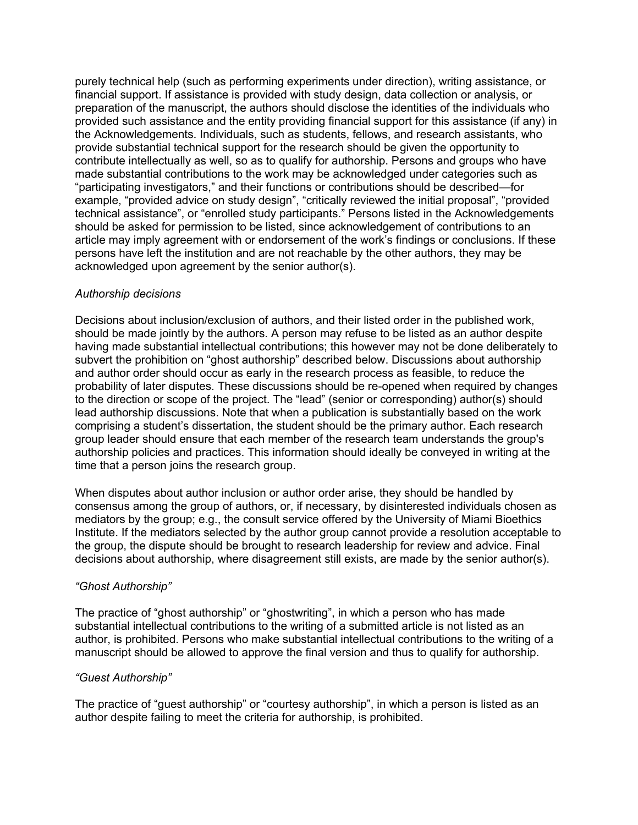purely technical help (such as performing experiments under direction), writing assistance, or financial support. If assistance is provided with study design, data collection or analysis, or preparation of the manuscript, the authors should disclose the identities of the individuals who provided such assistance and the entity providing financial support for this assistance (if any) in the Acknowledgements. Individuals, such as students, fellows, and research assistants, who provide substantial technical support for the research should be given the opportunity to contribute intellectually as well, so as to qualify for authorship. Persons and groups who have made substantial contributions to the work may be acknowledged under categories such as "participating investigators," and their functions or contributions should be described—for example, "provided advice on study design", "critically reviewed the initial proposal", "provided technical assistance", or "enrolled study participants." Persons listed in the Acknowledgements should be asked for permission to be listed, since acknowledgement of contributions to an article may imply agreement with or endorsement of the work's findings or conclusions. If these persons have left the institution and are not reachable by the other authors, they may be acknowledged upon agreement by the senior author(s).

## *Authorship decisions*

Decisions about inclusion/exclusion of authors, and their listed order in the published work, should be made jointly by the authors. A person may refuse to be listed as an author despite having made substantial intellectual contributions; this however may not be done deliberately to subvert the prohibition on "ghost authorship" described below. Discussions about authorship and author order should occur as early in the research process as feasible, to reduce the probability of later disputes. These discussions should be re-opened when required by changes to the direction or scope of the project. The "lead" (senior or corresponding) author(s) should lead authorship discussions. Note that when a publication is substantially based on the work comprising a student's dissertation, the student should be the primary author. Each research group leader should ensure that each member of the research team understands the group's authorship policies and practices. This information should ideally be conveyed in writing at the time that a person joins the research group.

When disputes about author inclusion or author order arise, they should be handled by consensus among the group of authors, or, if necessary, by disinterested individuals chosen as mediators by the group; e.g., the consult service offered by the University of Miami Bioethics Institute. If the mediators selected by the author group cannot provide a resolution acceptable to the group, the dispute should be brought to research leadership for review and advice. Final decisions about authorship, where disagreement still exists, are made by the senior author(s).

# *"Ghost Authorship"*

The practice of "ghost authorship" or "ghostwriting", in which a person who has made substantial intellectual contributions to the writing of a submitted article is not listed as an author, is prohibited. Persons who make substantial intellectual contributions to the writing of a manuscript should be allowed to approve the final version and thus to qualify for authorship.

#### *"Guest Authorship"*

The practice of "guest authorship" or "courtesy authorship", in which a person is listed as an author despite failing to meet the criteria for authorship, is prohibited.